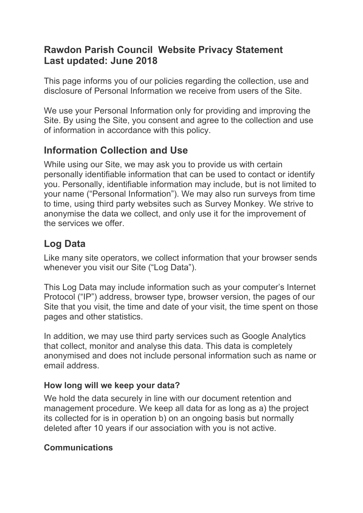## **Rawdon Parish Council Website Privacy Statement Last updated: June 2018**

This page informs you of our policies regarding the collection, use and disclosure of Personal Information we receive from users of the Site.

We use your Personal Information only for providing and improving the Site. By using the Site, you consent and agree to the collection and use of information in accordance with this policy.

## **Information Collection and Use**

While using our Site, we may ask you to provide us with certain personally identifiable information that can be used to contact or identify you. Personally, identifiable information may include, but is not limited to your name ("Personal Information"). We may also run surveys from time to time, using third party websites such as Survey Monkey. We strive to anonymise the data we collect, and only use it for the improvement of the services we offer.

# **Log Data**

Like many site operators, we collect information that your browser sends whenever you visit our Site ("Log Data").

This Log Data may include information such as your computer's Internet Protocol ("IP") address, browser type, browser version, the pages of our Site that you visit, the time and date of your visit, the time spent on those pages and other statistics.

In addition, we may use third party services such as Google Analytics that collect, monitor and analyse this data. This data is completely anonymised and does not include personal information such as name or email address.

## **How long will we keep your data?**

We hold the data securely in line with our document retention and management procedure. We keep all data for as long as a) the project its collected for is in operation b) on an ongoing basis but normally deleted after 10 years if our association with you is not active.

## **Communications**